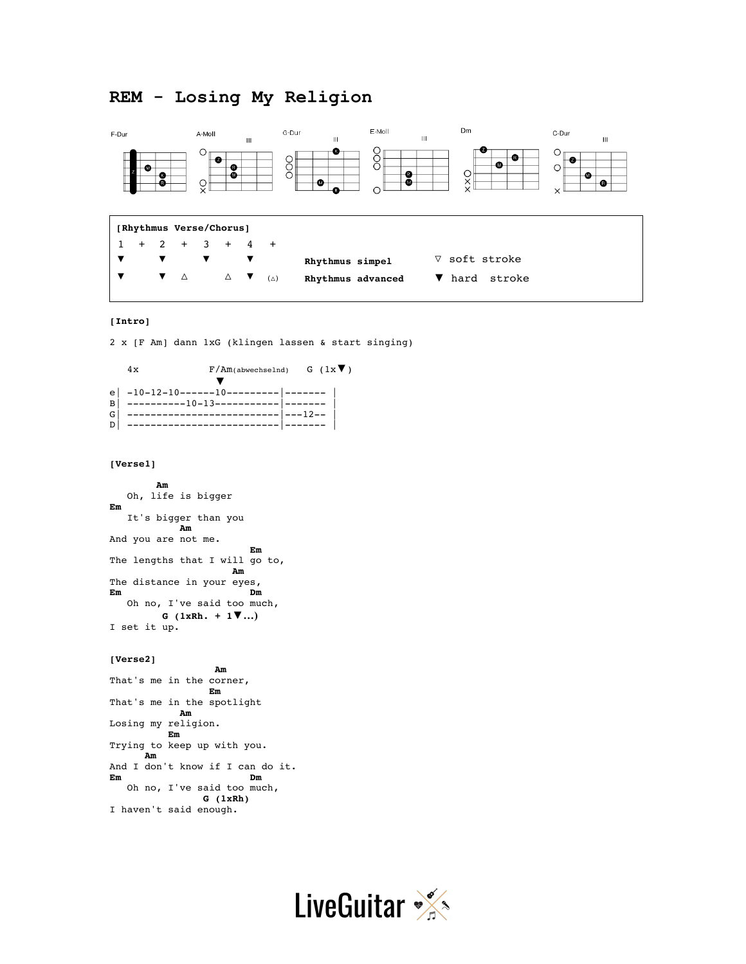# **REM - Losing My Religion**



# **[Intro]**

2 x [F Am] dann 1xG (klingen lassen & start singing)

 $4x$  F/Am(abwechselnd) G ( $1x$ <sup>V</sup>) ▼ e| -10-12-10------10---------|------- | B | ----------10-13------------ |-------G | ------------------------------ |---12--D| --------------------------|------- |

#### **[Verse1]**

 **Am** Oh, life is bigger **Em** It's bigger than you  **Am** And you are not me. *Em* **Em** The lengths that I will go to, *Am* The distance in your eyes, **Em Dm** Oh no, I've said too much,  **G (1xRh. + 1▼…)** I set it up.

#### **[Verse2]**

 **Am** That's me in the corner, *Empire Annual Em* That's me in the spotlight  **Am** Losing my religion.  **Em** Trying to keep up with you.  **Am** And I don't know if I can do it.<br>Em Dm **Em Dm** Oh no, I've said too much,  **G (1xRh)** I haven't said enough.

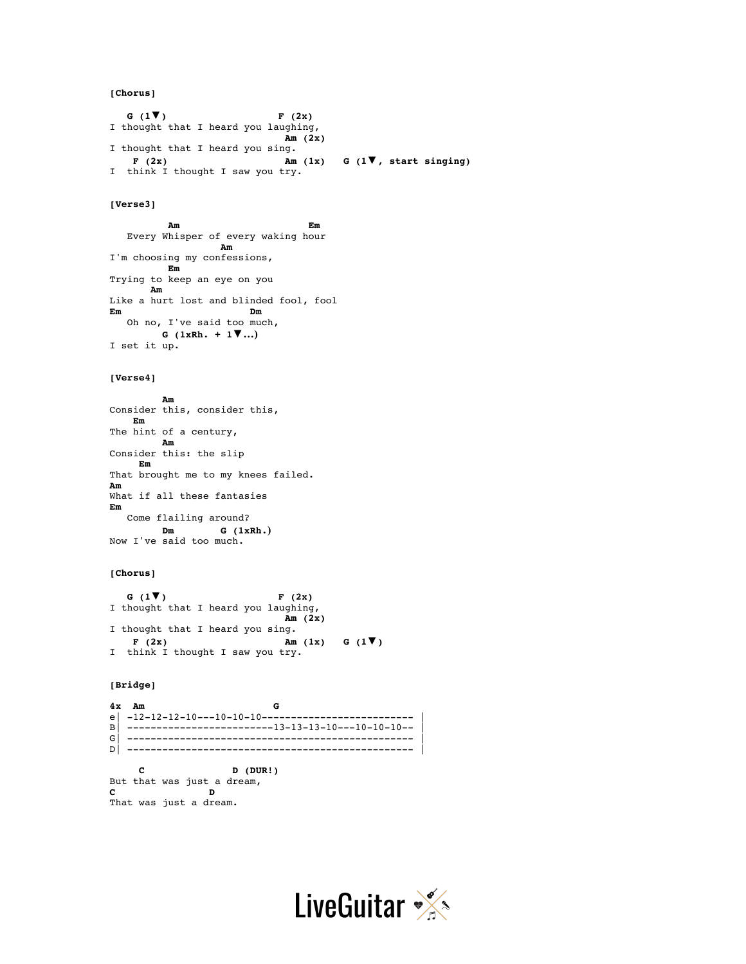**[Chorus]**

 **G (1▼) F (2x)** I thought that I heard you laughing, **Am (2x)** I thought that I heard you sing.  **F (2x) Am (1x) G (1▼, start singing)** I think I thought I saw you try.

#### **[Verse3]**

```
 Am Em
 Every Whisper of every waking hour
              Am
I'm choosing my confessions,
     Em
Trying to keep an eye on you
     Am
Like a hurt lost and blinded fool, fool
Em Dm
 Oh no, I've said too much,
      G (1xRh. + 1▼…)
I set it up.
```
#### **[Verse4]**

```
 Am
Consider this, consider this,
   Em
The hint of a century,
   Am
Consider this: the slip
     Em
That brought me to my knees failed.
Am
What if all these fantasies
Em
 Come flailing around?
       Dm G (1xRh.)
Now I've said too much.
```
#### **[Chorus]**

```
 G (1▼) F (2x)
I thought that I heard you laughing,
                          Am (2x)
I thought that I heard you sing.
   F (2x) Am (1x) G (1\blacktriangledown)I think I thought I saw you try.
```
# **[Bridge]**

**4x Am G** e| -12-12-12-10---10-10-10-------------------------- | B | ------------------------13-13-13-10---10-10---G| ------------------------------------------------- | D| ------------------------------------------------- |

```
 C D (DUR!)
But that was just a dream,
C D
That was just a dream.
```